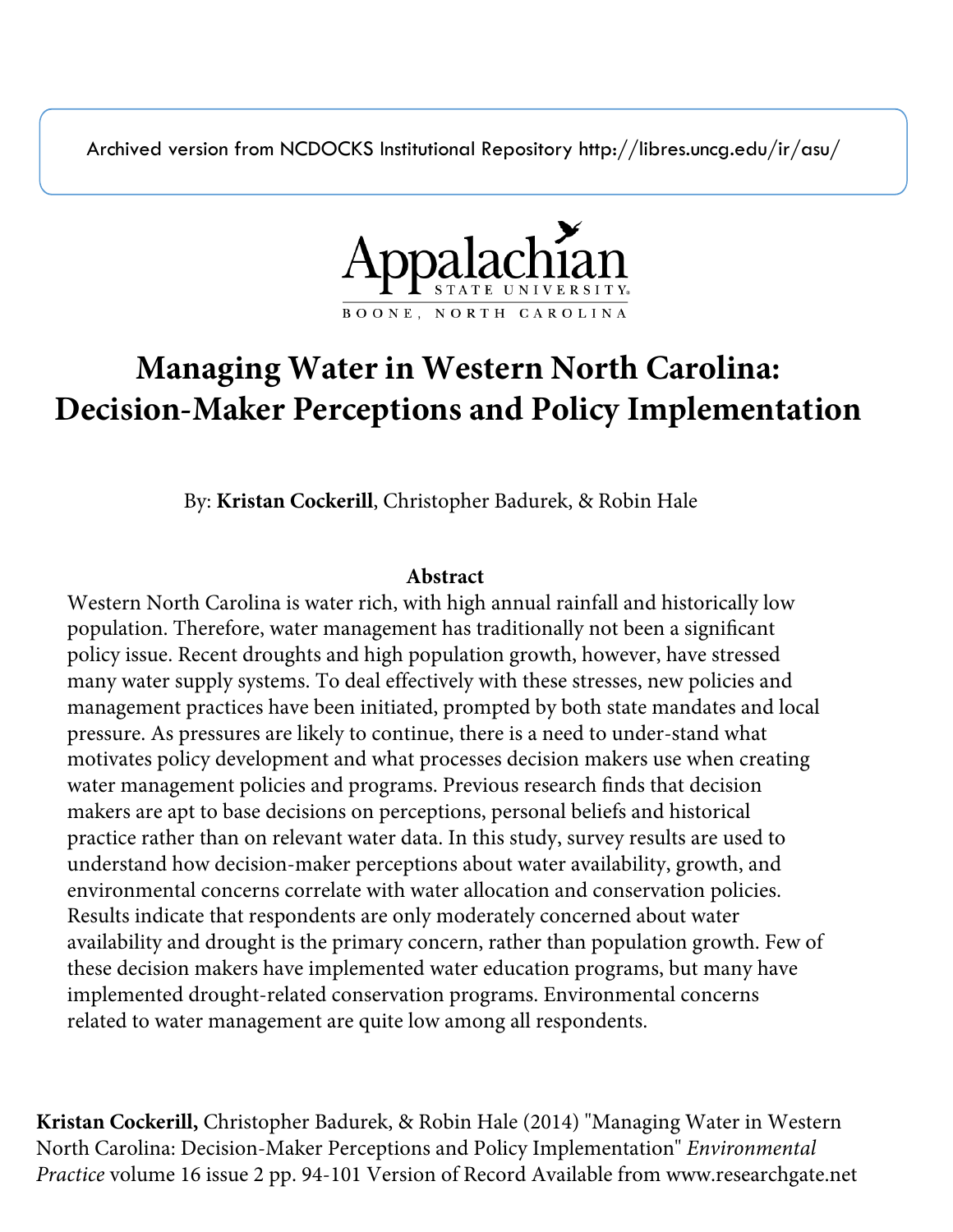Archived version from NCDOCKS Institutional Repository http://libres.uncg.edu/ir/asu/



# **Managing Water in Western North Carolina: Decision-Maker Perceptions and Policy Implementation**

By: **Kristan Cockerill**, Christopher Badurek, & Robin Hale

## **Abstract**

Western North Carolina is water rich, with high annual rainfall and historically low population. Therefore, water management has traditionally not been a significant policy issue. Recent droughts and high population growth, however, have stressed many water supply systems. To deal effectively with these stresses, new policies and management practices have been initiated, prompted by both state mandates and local pressure. As pressures are likely to continue, there is a need to under-stand what motivates policy development and what processes decision makers use when creating water management policies and programs. Previous research finds that decision makers are apt to base decisions on perceptions, personal beliefs and historical practice rather than on relevant water data. In this study, survey results are used to understand how decision-maker perceptions about water availability, growth, and environmental concerns correlate with water allocation and conservation policies. Results indicate that respondents are only moderately concerned about water availability and drought is the primary concern, rather than population growth. Few of these decision makers have implemented water education programs, but many have implemented drought-related conservation programs. Environmental concerns related to water management are quite low among all respondents.

**Kristan Cockerill,** Christopher Badurek, & Robin Hale (2014) "Managing Water in Western North Carolina: Decision-Maker Perceptions and Policy Implementation" *Environmental Practice* volume 16 issue 2 pp. 94-101 Version of Record Available from www.researchgate.net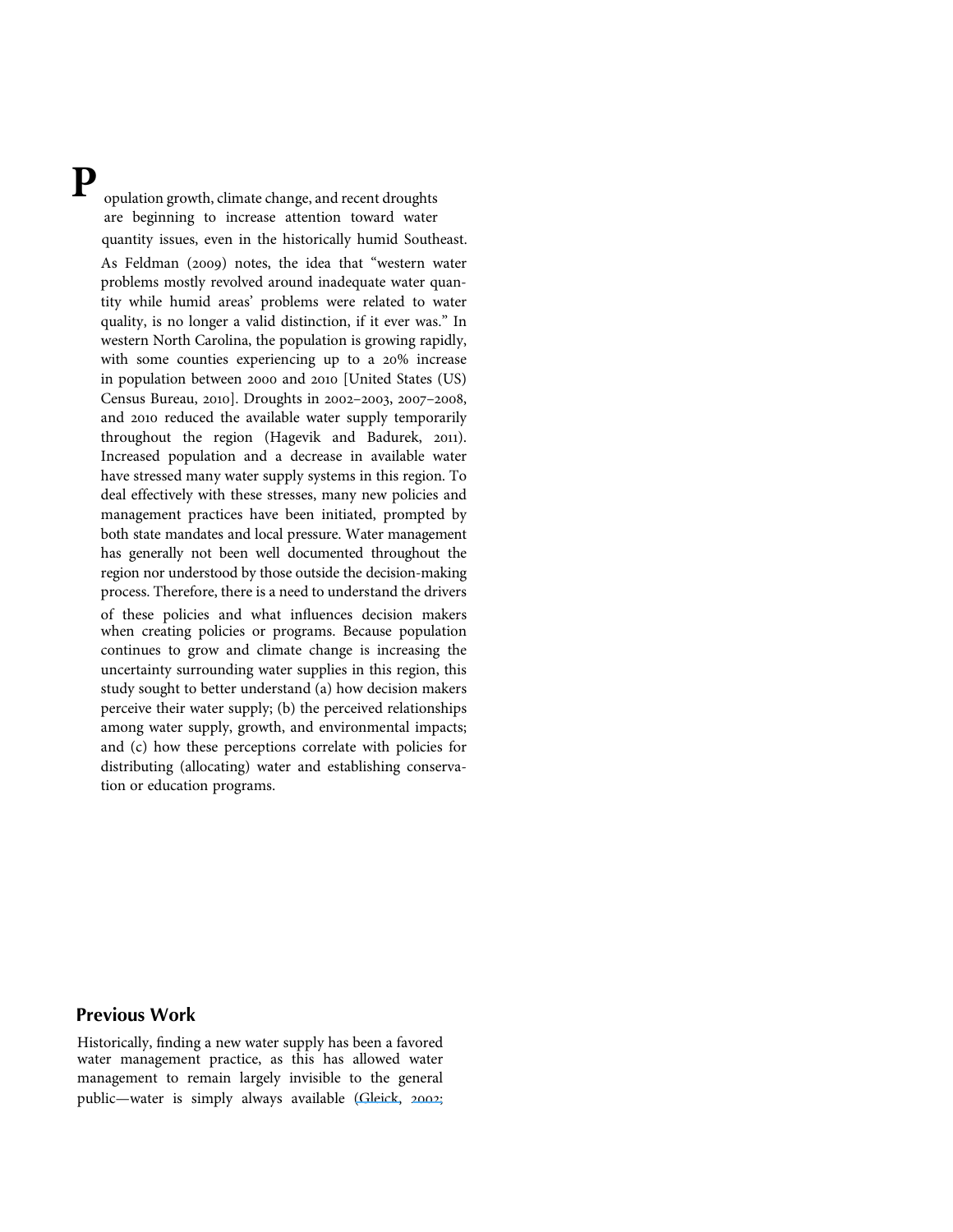### $\mathbf{P}_{\text{opulation growth, climate change, and recent droughts}}$ are beginning to increase attention toward water quantity issues, even in the historically humid Southeast. As Feldman (2009) notes, the idea that "western water problems mostly revolved around inadequate water quantity while humid areas' problems were related to water quality, is no longer a valid distinction, if it ever was." In western North Carolina, the population is growing rapidly, with some counties experiencing up to a 20% increase in population between 2000 and 2010 [United States (US) Census Bureau, 2010]. Droughts in 2002–2003, 2007–2008, and 2010 reduced the available water supply temporarily throughout the region (Hagevik and Badurek, 2011). Increased population and a decrease in available water have stressed many water supply systems in this region. To deal effectively with these stresses, many new policies and management practices have been initiated, prompted by both state mandates and local pressure. Water management has generally not been well documented throughout the region nor understood by those outside the decision-making process. Therefore, there is a need to understand the drivers of these policies and what influences decision makers when creating policies or programs. Because population continues to grow and climate change is increasing the uncertainty surrounding water supplies in this region, this study sought to better understand (a) how decision makers perceive their water supply; (b) the perceived relationships among water supply, growth, and environmental impacts; and (c) how these perceptions correlate with policies for distributing (allocating) water and establishing conservation or education programs.

#### Previous Work

Historically, finding a new water supply has been a favored water management practice, as this has allowed water management to remain largely invisible to the general public—water is simply always available (Gleick, 2002;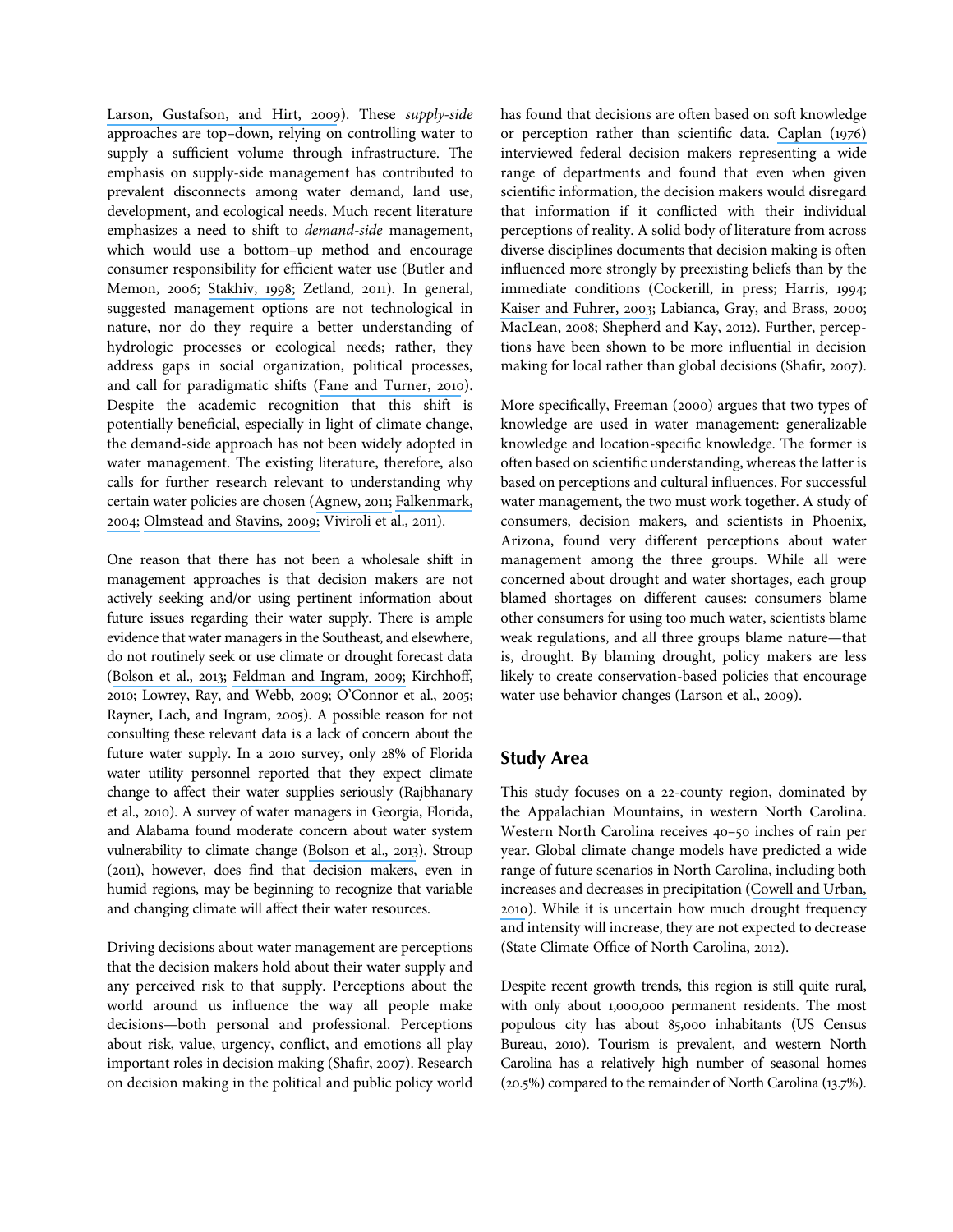[Larson, Gustafson, and Hirt,](https://www.researchgate.net/publication/231890006_Insatiable_Thirst_and_a_Finite_Supply_An_Assessment_of_Municipal_Water-Conservation_Policy_in_Greater_Phoenix_Arizona_1980-2007?el=1_x_8&enrichId=rgreq-f91298bf66c907e53cf8961c363db734-XXX&enrichSource=Y292ZXJQYWdlOzI3MTQwNDY3MDtBUzozNDIwNDYzODU2ODg1NzZAMTQ1ODU2MTYyMTQwMg==) [2009](#page-8-0)). These supply-side approaches are top–down, relying on controlling water to supply a sufficient volume through infrastructure. The emphasis on supply-side management has contributed to prevalent disconnects among water demand, land use, development, and ecological needs. Much recent literature emphasizes a need to shift to demand-side management, which would use a bottom–up method and encourage consumer responsibility for efficient water use (Butler and Memon, [2006](#page-7-0); [Stakhiv,](https://www.researchgate.net/publication/250140264_Policy_Implications_of_Climate_Change_Impacts_on_Water_Resources_Management?el=1_x_8&enrichId=rgreq-f91298bf66c907e53cf8961c363db734-XXX&enrichSource=Y292ZXJQYWdlOzI3MTQwNDY3MDtBUzozNDIwNDYzODU2ODg1NzZAMTQ1ODU2MTYyMTQwMg==) [1998](#page-8-0); Zetland, [2011](#page-8-0)). In general, suggested management options are not technological in nature, nor do they require a better understanding of hydrologic processes or ecological needs; rather, they address gaps in social organization, political processes, and call for paradigmatic shifts ([Fane and Turner,](https://www.researchgate.net/publication/274678912_Integrated_water_resource_planning_in_the_context_of_climate_uncertainty?el=1_x_8&enrichId=rgreq-f91298bf66c907e53cf8961c363db734-XXX&enrichSource=Y292ZXJQYWdlOzI3MTQwNDY3MDtBUzozNDIwNDYzODU2ODg1NzZAMTQ1ODU2MTYyMTQwMg==) [2010](#page-8-0)). Despite the academic recognition that this shift is potentially beneficial, especially in light of climate change, the demand-side approach has not been widely adopted in water management. The existing literature, therefore, also calls for further research relevant to understanding why certain water policies are chosen ([Agnew,](https://www.researchgate.net/publication/233098317_Waterpower_Politics_and_the_Geography_of_Water_Provision?el=1_x_8&enrichId=rgreq-f91298bf66c907e53cf8961c363db734-XXX&enrichSource=Y292ZXJQYWdlOzI3MTQwNDY3MDtBUzozNDIwNDYzODU2ODg1NzZAMTQ1ODU2MTYyMTQwMg==) [2011](#page-7-0); [Falkenmark,](https://www.researchgate.net/publication/248996952_Towards_integrated_catchment_management_Opening_the_paradigm_locks_between_hydrology_ecology_and_policy-making?el=1_x_8&enrichId=rgreq-f91298bf66c907e53cf8961c363db734-XXX&enrichSource=Y292ZXJQYWdlOzI3MTQwNDY3MDtBUzozNDIwNDYzODU2ODg1NzZAMTQ1ODU2MTYyMTQwMg==) [2004](https://www.researchgate.net/publication/248996952_Towards_integrated_catchment_management_Opening_the_paradigm_locks_between_hydrology_ecology_and_policy-making?el=1_x_8&enrichId=rgreq-f91298bf66c907e53cf8961c363db734-XXX&enrichSource=Y292ZXJQYWdlOzI3MTQwNDY3MDtBUzozNDIwNDYzODU2ODg1NzZAMTQ1ODU2MTYyMTQwMg==); [Olmstead and Stavins,](https://www.researchgate.net/publication/260355942_Comparing_Price_and_Non-Price_Approaches_to_Urban_Water_Conservation?el=1_x_8&enrichId=rgreq-f91298bf66c907e53cf8961c363db734-XXX&enrichSource=Y292ZXJQYWdlOzI3MTQwNDY3MDtBUzozNDIwNDYzODU2ODg1NzZAMTQ1ODU2MTYyMTQwMg==) [2009](#page-8-0); Viviroli et al., [2011](#page-8-0)).

One reason that there has not been a wholesale shift in management approaches is that decision makers are not actively seeking and/or using pertinent information about future issues regarding their water supply. There is ample evidence that water managers in the Southeast, and elsewhere, do not routinely seek or use climate or drought forecast data ([Bolson et al.,](https://www.researchgate.net/publication/257480698_Climate_information_use_among_southeast_US_water_managers_Beyond_barriers_and_toward_opportunities?el=1_x_8&enrichId=rgreq-f91298bf66c907e53cf8961c363db734-XXX&enrichSource=Y292ZXJQYWdlOzI3MTQwNDY3MDtBUzozNDIwNDYzODU2ODg1NzZAMTQ1ODU2MTYyMTQwMg==) [2013](#page-7-0); [Feldman and Ingram,](https://www.researchgate.net/publication/249622048_Making_Science_Useful_to_Decision_Makers_Climate_Forecasts_Water_Management_and_Knowledge_Networks?el=1_x_8&enrichId=rgreq-f91298bf66c907e53cf8961c363db734-XXX&enrichSource=Y292ZXJQYWdlOzI3MTQwNDY3MDtBUzozNDIwNDYzODU2ODg1NzZAMTQ1ODU2MTYyMTQwMg==) [2009](#page-8-0); Kirchhoff, [2010](#page-8-0); [Lowrey, Ray, and Webb,](https://www.researchgate.net/publication/250221767_Factors_Influencing_the_Use_of_Climate_Information_by_Colorado_Municipal_Water_Managers?el=1_x_8&enrichId=rgreq-f91298bf66c907e53cf8961c363db734-XXX&enrichSource=Y292ZXJQYWdlOzI3MTQwNDY3MDtBUzozNDIwNDYzODU2ODg1NzZAMTQ1ODU2MTYyMTQwMg==) [2009](#page-8-0); O'Connor et al., [2005](#page-8-0); Rayner, Lach, and Ingram, [2005](#page-8-0)). A possible reason for not consulting these relevant data is a lack of concern about the future water supply. In a 2010 survey, only 28% of Florida water utility personnel reported that they expect climate change to affect their water supplies seriously (Rajbhanary et al., [2010](#page-8-0)). A survey of water managers in Georgia, Florida, and Alabama found moderate concern about water system vulnerability to climate change ([Bolson et al.,](https://www.researchgate.net/publication/257480698_Climate_information_use_among_southeast_US_water_managers_Beyond_barriers_and_toward_opportunities?el=1_x_8&enrichId=rgreq-f91298bf66c907e53cf8961c363db734-XXX&enrichSource=Y292ZXJQYWdlOzI3MTQwNDY3MDtBUzozNDIwNDYzODU2ODg1NzZAMTQ1ODU2MTYyMTQwMg==) [2013](#page-7-0)). Stroup ([2011](#page-8-0)), however, does find that decision makers, even in humid regions, may be beginning to recognize that variable and changing climate will affect their water resources.

Driving decisions about water management are perceptions that the decision makers hold about their water supply and any perceived risk to that supply. Perceptions about the world around us influence the way all people make decisions—both personal and professional. Perceptions about risk, value, urgency, conflict, and emotions all play important roles in decision making (Shafir, [2007](#page-8-0)). Research on decision making in the political and public policy world

has found that decisions are often based on soft knowledge or perception rather than scientific data. [Caplan \(](https://www.researchgate.net/publication/229634017_Factors_Associated_With_Knowledge_Use_Among_Federal_Executives?el=1_x_8&enrichId=rgreq-f91298bf66c907e53cf8961c363db734-XXX&enrichSource=Y292ZXJQYWdlOzI3MTQwNDY3MDtBUzozNDIwNDYzODU2ODg1NzZAMTQ1ODU2MTYyMTQwMg==)[1976](#page-8-0)) interviewed federal decision makers representing a wide range of departments and found that even when given scientific information, the decision makers would disregard that information if it conflicted with their individual perceptions of reality. A solid body of literature from across diverse disciplines documents that decision making is often influenced more strongly by preexisting beliefs than by the immediate conditions (Cockeril[l, i](#page-8-0)n press; Harris, [1994](#page-8-0); [Kaiser and Fuhrer,](https://www.researchgate.net/publication/229737822_Ecological_Behavior) [2003](#page-8-0); Labianca, Gray, and Brass, [2000](#page-8-0); MacLean, [2008](#page-8-0); Shepherd and Kay, [2012](#page-8-0)). Further, perceptions have been shown to be more influential in decision making for local rather than global decisions (Shafir, [2007](#page-8-0)).

More specifically, Freeman ([2000](#page-8-0)) argues that two types of knowledge are used in water management: generalizable knowledge and location-specific knowledge. The former is often based on scientific understanding, whereas the latter is based on perceptions and cultural influences. For successful water management, the two must work together. A study of consumers, decision makers, and scientists in Phoenix, Arizona, found very different perceptions about water management among the three groups. While all were concerned about drought and water shortages, each group blamed shortages on different causes: consumers blame other consumers for using too much water, scientists blame weak regulations, and all three groups blame nature—that is, drought. By blaming drought, policy makers are less likely to create conservation-based policies that encourage water use behavior changes (Larson et al., [2009](#page-8-0)).

#### Study Area

This study focuses on a 22-county region, dominated by the Appalachian Mountains, in western North Carolina. Western North Carolina receives 40–50 inches of rain per year. Global climate change models have predicted a wide range of future scenarios in North Carolina, including both increases and decreases in precipitation ([Cowell and Urban,](https://www.researchgate.net/publication/233107559_The_Changing_Geography_of_the_US_Water_Budget_Twentieth-Century_Patterns_and_Twenty-First-Century_Projections?el=1_x_8&enrichId=rgreq-f91298bf66c907e53cf8961c363db734-XXX&enrichSource=Y292ZXJQYWdlOzI3MTQwNDY3MDtBUzozNDIwNDYzODU2ODg1NzZAMTQ1ODU2MTYyMTQwMg==) [201](https://www.researchgate.net/publication/233107559_The_Changing_Geography_of_the_US_Water_Budget_Twentieth-Century_Patterns_and_Twenty-First-Century_Projections?el=1_x_8&enrichId=rgreq-f91298bf66c907e53cf8961c363db734-XXX&enrichSource=Y292ZXJQYWdlOzI3MTQwNDY3MDtBUzozNDIwNDYzODU2ODg1NzZAMTQ1ODU2MTYyMTQwMg==)[0](#page-8-0)). While it is uncertain how much drought frequency and intensity will increase, they are not expected to decrease (State Climate Office of North Carolina, [2012](#page-8-0)).

Despite recent growth trends, this region is still quite rural, with only about 1,000,000 permanent residents. The most populous city has about 85,000 inhabitants (US Census Bureau, [2010](#page-8-0)). Tourism is prevalent, and western North Carolina has a relatively high number of seasonal homes (20.5%) compared to the remainder of North Carolina (13.7%).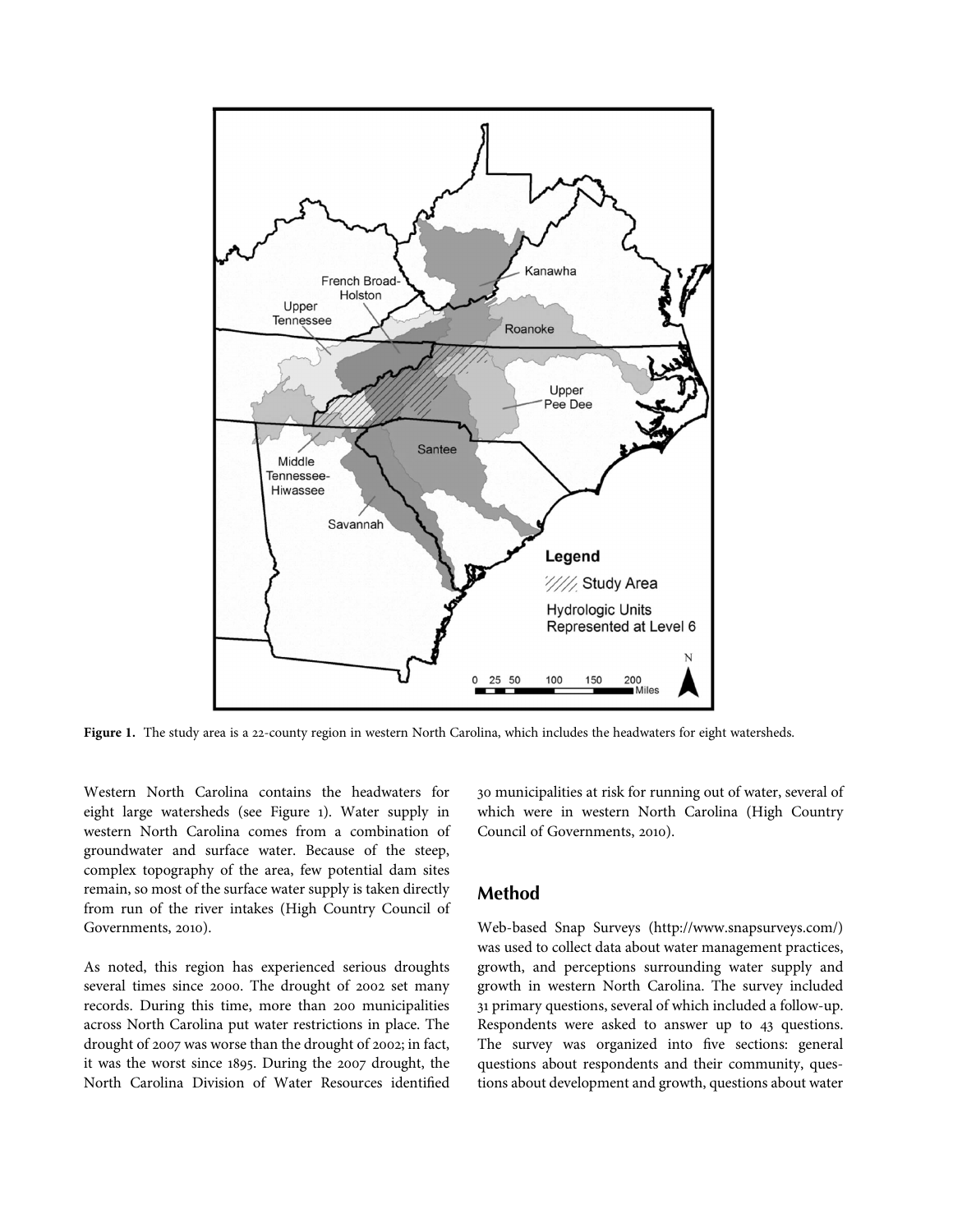

Figure 1. The study area is a 22-county region in western North Carolina, which includes the headwaters for eight watersheds.

Western North Carolina contains the headwaters for eight large watersheds (see Figure 1). Water supply in western North Carolina comes from a combination of groundwater and surface water. Because of the steep, complex topography of the area, few potential dam sites remain, so most of the surface water supply is taken directly from run of the river intakes (High Country Council of Governments, [2010](#page-8-0)).

As noted, this region has experienced serious droughts several times since 2000. The drought of 2002 set many records. During this time, more than 200 municipalities across North Carolina put water restrictions in place. The drought of 2007 was worse than the drought of 2002; in fact, it was the worst since 1895. During the 2007 drought, the North Carolina Division of Water Resources identified 30 municipalities at risk for running out of water, several of which were in western North Carolina (High Country Council of Governments, [2010](#page-8-0)).

### Method

Web-based Snap Surveys (http://www.snapsurveys.com/) was used to collect data about water management practices, growth, and perceptions surrounding water supply and growth in western North Carolina. The survey included 31 primary questions, several of which included a follow-up. Respondents were asked to answer up to 43 questions. The survey was organized into five sections: general questions about respondents and their community, questions about development and growth, questions about water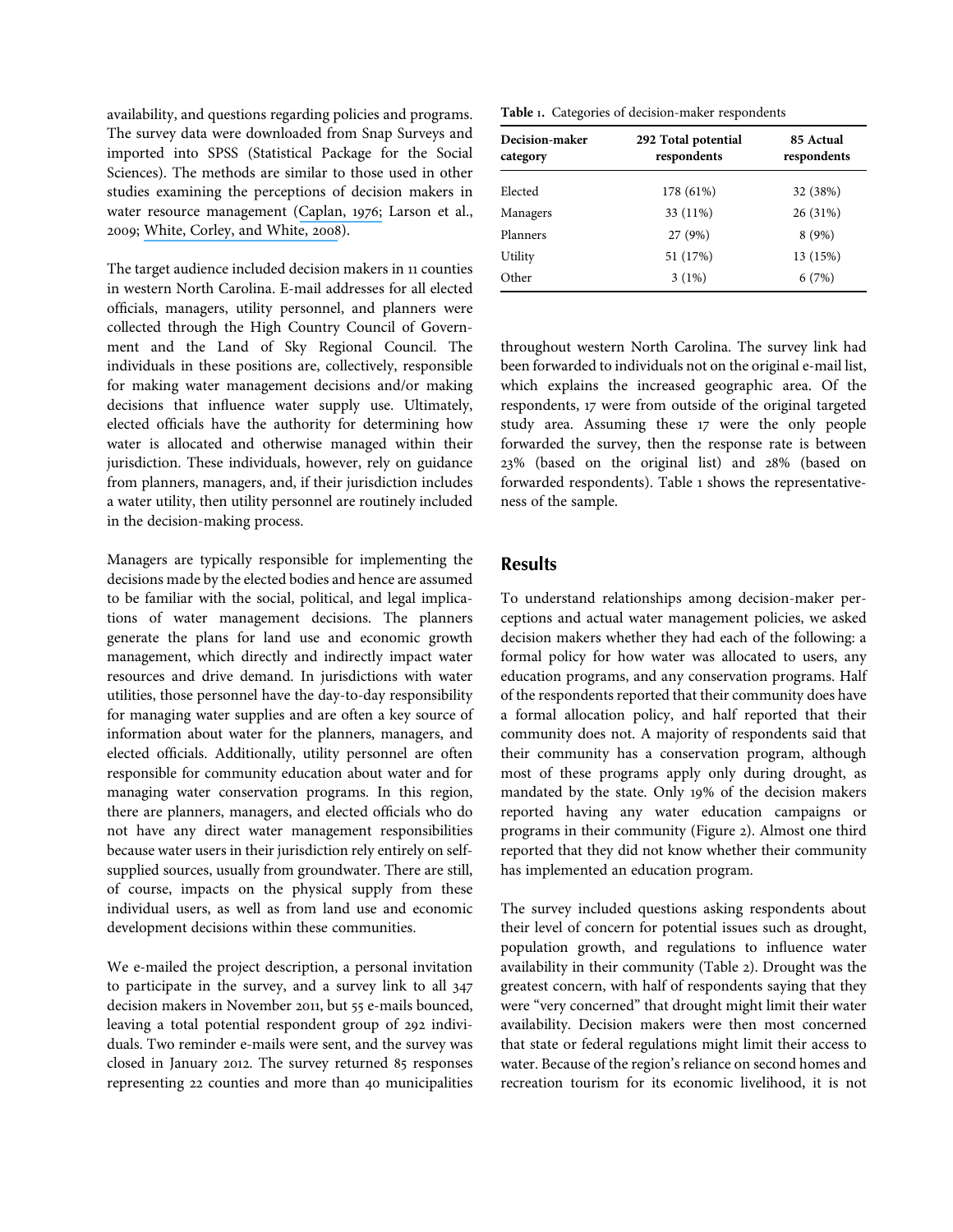availability, and questions regarding policies and programs. The survey data were downloaded from Snap Surveys and imported into SPSS (Statistical Package for the Social Sciences). The methods are similar to those used in other studies examining the perceptions of decision makers in water resource management ([Caplan,](https://www.researchgate.net/publication/229634017_Factors_Associated_With_Knowledge_Use_Among_Federal_Executives?el=1_x_8&enrichId=rgreq-f91298bf66c907e53cf8961c363db734-XXX&enrichSource=Y292ZXJQYWdlOzI3MTQwNDY3MDtBUzozNDIwNDYzODU2ODg1NzZAMTQ1ODU2MTYyMTQwMg==) [1976](#page-8-0); Larson et al., [2009](#page-8-0); [White, Corley, and White,](https://www.researchgate.net/publication/235903918_Water_Managers) [2008](#page-8-0)).

The target audience included decision makers in 11 counties in western North Carolina. E-mail addresses for all elected officials, managers, utility personnel, and planners were collected through the High Country Council of Government and the Land of Sky Regional Council. The individuals in these positions are, collectively, responsible for making water management decisions and/or making decisions that influence water supply use. Ultimately, elected officials have the authority for determining how water is allocated and otherwise managed within their jurisdiction. These individuals, however, rely on guidance from planners, managers, and, if their jurisdiction includes a water utility, then utility personnel are routinely included in the decision-making process.

Managers are typically responsible for implementing the decisions made by the elected bodies and hence are assumed to be familiar with the social, political, and legal implications of water management decisions. The planners generate the plans for land use and economic growth management, which directly and indirectly impact water resources and drive demand. In jurisdictions with water utilities, those personnel have the day-to-day responsibility for managing water supplies and are often a key source of information about water for the planners, managers, and elected officials. Additionally, utility personnel are often responsible for community education about water and for managing water conservation programs. In this region, there are planners, managers, and elected officials who do not have any direct water management responsibilities because water users in their jurisdiction rely entirely on selfsupplied sources, usually from groundwater. There are still, of course, impacts on the physical supply from these individual users, as well as from land use and economic development decisions within these communities.

We e-mailed the project description, a personal invitation to participate in the survey, and a survey link to all 347 decision makers in November 2011, but 55 e-mails bounced, leaving a total potential respondent group of 292 individuals. Two reminder e-mails were sent, and the survey was closed in January 2012. The survey returned 85 responses representing 22 counties and more than 40 municipalities

Table 1. Categories of decision-maker respondents

| <b>Decision-maker</b><br>category | 292 Total potential<br>respondents | 85 Actual<br>respondents |
|-----------------------------------|------------------------------------|--------------------------|
| Elected                           | 178 (61%)                          | 32 (38%)                 |
| Managers                          | 33 (11%)                           | 26 (31%)                 |
| Planners                          | 27 (9%)                            | 8(9%)                    |
| Utility                           | 51 (17%)                           | 13 (15%)                 |
| Other                             | 3(1%)                              | 6(7%)                    |

throughout western North Carolina. The survey link had been forwarded to individuals not on the original e-mail list, which explains the increased geographic area. Of the respondents, 17 were from outside of the original targeted study area. Assuming these 17 were the only people forwarded the survey, then the response rate is between 23% (based on the original list) and 28% (based on forwarded respondents). Table 1 shows the representativeness of the sample.

#### **Results**

To understand relationships among decision-maker perceptions and actual water management policies, we asked decision makers whether they had each of the following: a formal policy for how water was allocated to users, any education programs, and any conservation programs. Half of the respondents reported that their community does have a formal allocation policy, and half reported that their community does not. A majority of respondents said that their community has a conservation program, although most of these programs apply only during drought, as mandated by the state. Only 19% of the decision makers reported having any water education campaigns or programs in their community [\(Figure](#page-5-0) 2). Almost one third reported that they did not know whether their community has implemented an education program.

The survey included questions asking respondents about their level of concern for potential issues such as drought, population growth, and regulations to influence water availability in their community [\(Table](#page-5-0) 2). Drought was the greatest concern, with half of respondents saying that they were "very concerned" that drought might limit their water availability. Decision makers were then most concerned that state or federal regulations might limit their access to water. Because of the region's reliance on second homes and recreation tourism for its economic livelihood, it is not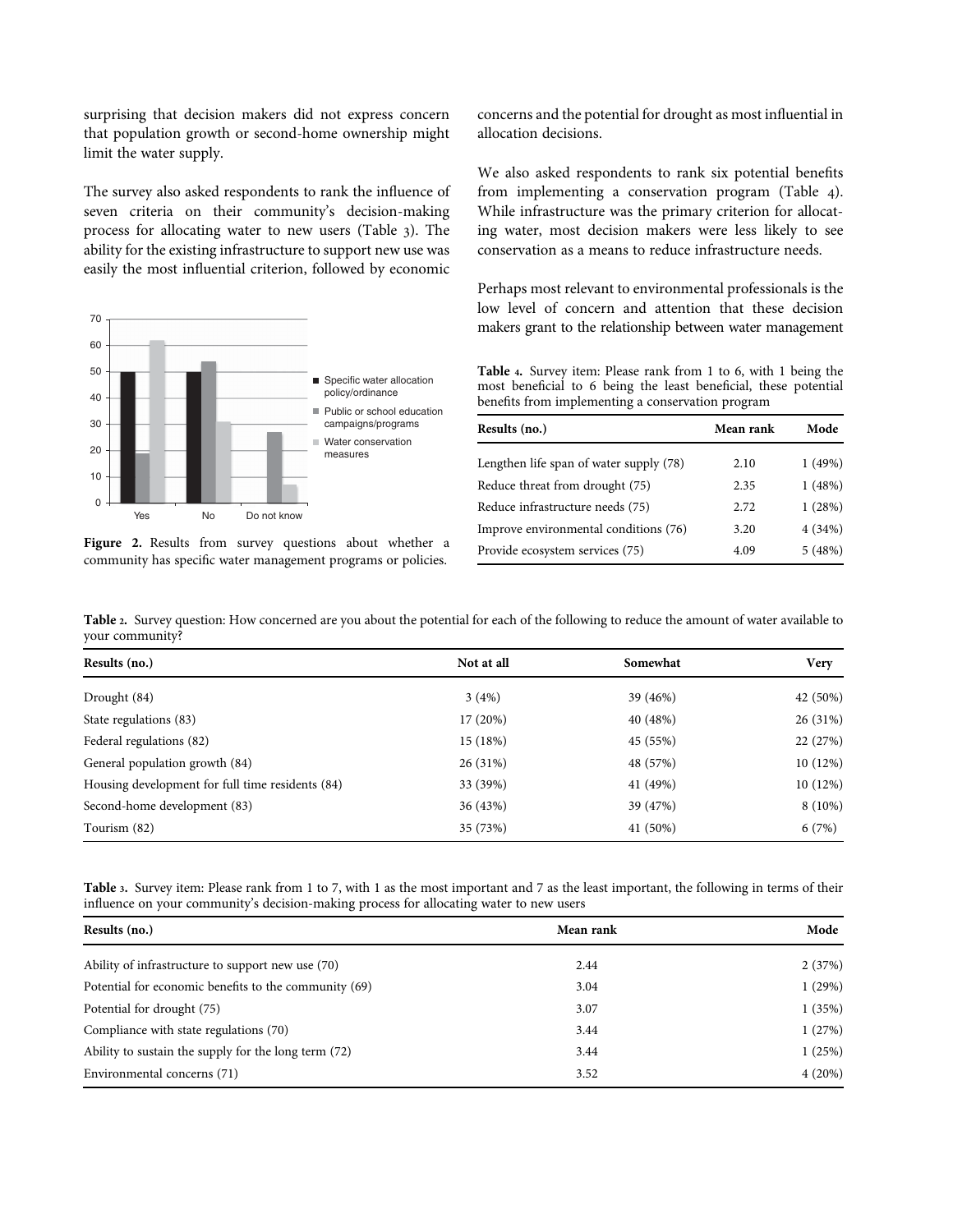<span id="page-5-0"></span>surprising that decision makers did not express concern that population growth or second-home ownership might limit the water supply.

The survey also asked respondents to rank the influence of seven criteria on their community's decision-making process for allocating water to new users (Table 3). The ability for the existing infrastructure to support new use was easily the most influential criterion, followed by economic



Figure 2. Results from survey questions about whether a community has specific water management programs or policies.

concerns and the potential for drought as most influential in allocation decisions.

We also asked respondents to rank six potential benefits from implementing a conservation program (Table 4). While infrastructure was the primary criterion for allocating water, most decision makers were less likely to see conservation as a means to reduce infrastructure needs.

Perhaps most relevant to environmental professionals is the low level of concern and attention that these decision makers grant to the relationship between water management

Table 4. Survey item: Please rank from 1 to 6, with 1 being the most beneficial to 6 being the least beneficial, these potential benefits from implementing a conservation program

| Results (no.)                           | Mean rank | Mode   |
|-----------------------------------------|-----------|--------|
| Lengthen life span of water supply (78) | 2.10      | 1(49%) |
| Reduce threat from drought (75)         | 2.35      | 1(48%) |
| Reduce infrastructure needs (75)        | 2.72      | 1(28%) |
| Improve environmental conditions (76)   | 3.20      | 4(34%) |
| Provide ecosystem services (75)         | 4.09      | 5(48%) |

Table 2. Survey question: How concerned are you about the potential for each of the following to reduce the amount of water available to your community?

| Results (no.)                                    | Not at all | Somewhat | <b>Very</b> |
|--------------------------------------------------|------------|----------|-------------|
| Drought (84)                                     | 3(4%)      | 39 (46%) | 42 (50%)    |
| State regulations (83)                           | 17 (20%)   | 40 (48%) | 26 (31%)    |
| Federal regulations (82)                         | 15 (18%)   | 45 (55%) | 22 (27%)    |
| General population growth (84)                   | 26 (31%)   | 48 (57%) | 10 (12%)    |
| Housing development for full time residents (84) | 33 (39%)   | 41 (49%) | 10 (12%)    |
| Second-home development (83)                     | 36 (43%)   | 39 (47%) | $8(10\%)$   |
| Tourism (82)                                     | 35 (73%)   | 41 (50%) | 6(7%)       |

Table 3. Survey item: Please rank from 1 to 7, with 1 as the most important and 7 as the least important, the following in terms of their influence on your community's decision-making process for allocating water to new users

| Results (no.)                                         | Mean rank | Mode   |
|-------------------------------------------------------|-----------|--------|
| Ability of infrastructure to support new use (70)     | 2.44      | 2(37%) |
| Potential for economic benefits to the community (69) | 3.04      | 1(29%) |
| Potential for drought (75)                            | 3.07      | 1(35%) |
| Compliance with state regulations (70)                | 3.44      | 1(27%) |
| Ability to sustain the supply for the long term (72)  | 3.44      | 1(25%) |
| Environmental concerns (71)                           | 3.52      | 4(20%) |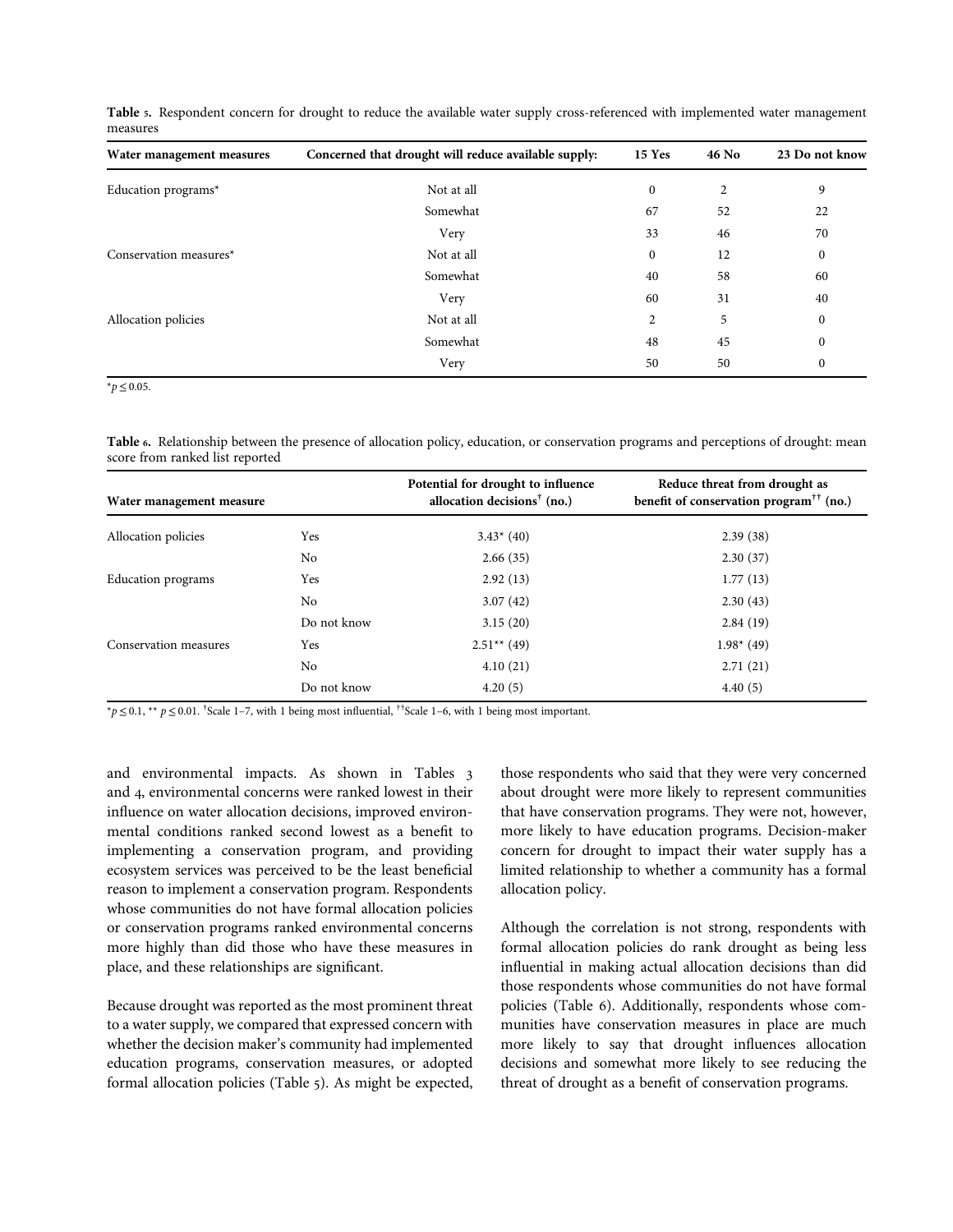| Water management measures | Concerned that drought will reduce available supply: | 15 Yes       | <b>46 No</b> | 23 Do not know   |
|---------------------------|------------------------------------------------------|--------------|--------------|------------------|
| Education programs*       | Not at all                                           | $\mathbf{0}$ | 2            | 9                |
|                           | Somewhat                                             | 67           | 52           | 22               |
|                           | Very                                                 | 33           | 46           | 70               |
| Conservation measures*    | Not at all                                           | $\mathbf{0}$ | 12           | $\boldsymbol{0}$ |
|                           | Somewhat                                             | 40           | 58           | 60               |
|                           | Very                                                 | 60           | 31           | 40               |
| Allocation policies       | Not at all                                           | 2            | 5            | $\bf{0}$         |
|                           | Somewhat                                             | 48           | 45           | $\mathbf{0}$     |
|                           | Very                                                 | 50           | 50           | $\mathbf{0}$     |

Table 5. Respondent concern for drought to reduce the available water supply cross-referenced with implemented water management measures

\*p≤0.05.

Table 6. Relationship between the presence of allocation policy, education, or conservation programs and perceptions of drought: mean score from ranked list reported

| Water management measure  |             | Potential for drought to influence<br>allocation decisions <sup><math>\dagger</math></sup> (no.) | Reduce threat from drought as<br>benefit of conservation program <sup>††</sup> (no.) |
|---------------------------|-------------|--------------------------------------------------------------------------------------------------|--------------------------------------------------------------------------------------|
| Allocation policies       | Yes         | $3.43^{*}(40)$                                                                                   | 2.39(38)                                                                             |
|                           | No          | 2.66(35)                                                                                         | 2.30(37)                                                                             |
| <b>Education</b> programs | Yes         | 2.92(13)                                                                                         | 1.77(13)                                                                             |
|                           | No          | 3.07(42)                                                                                         | 2.30(43)                                                                             |
|                           | Do not know | 3.15(20)                                                                                         | 2.84(19)                                                                             |
| Conservation measures     | Yes         | $2.51**$ (49)                                                                                    | $1.98*(49)$                                                                          |
|                           | No          | 4.10(21)                                                                                         | 2.71(21)                                                                             |
|                           | Do not know | 4.20(5)                                                                                          | 4.40(5)                                                                              |

\* $p \le 0.1$ , \*\*  $p \le 0.01$ . <sup>†</sup>Scale 1-7, with 1 being most influential, <sup>††</sup>Scale 1-6, with 1 being most important.

and environmental impacts. As shown in [Tables](#page-5-0) 3 and [4](#page-5-0), environmental concerns were ranked lowest in their influence on water allocation decisions, improved environmental conditions ranked second lowest as a benefit to implementing a conservation program, and providing ecosystem services was perceived to be the least beneficial reason to implement a conservation program. Respondents whose communities do not have formal allocation policies or conservation programs ranked environmental concerns more highly than did those who have these measures in place, and these relationships are significant.

Because drought was reported as the most prominent threat to a water supply, we compared that expressed concern with whether the decision maker's community had implemented education programs, conservation measures, or adopted formal allocation policies (Table 5). As might be expected,

those respondents who said that they were very concerned about drought were more likely to represent communities that have conservation programs. They were not, however, more likely to have education programs. Decision-maker concern for drought to impact their water supply has a limited relationship to whether a community has a formal allocation policy.

Although the correlation is not strong, respondents with formal allocation policies do rank drought as being less influential in making actual allocation decisions than did those respondents whose communities do not have formal policies (Table 6). Additionally, respondents whose communities have conservation measures in place are much more likely to say that drought influences allocation decisions and somewhat more likely to see reducing the threat of drought as a benefit of conservation programs.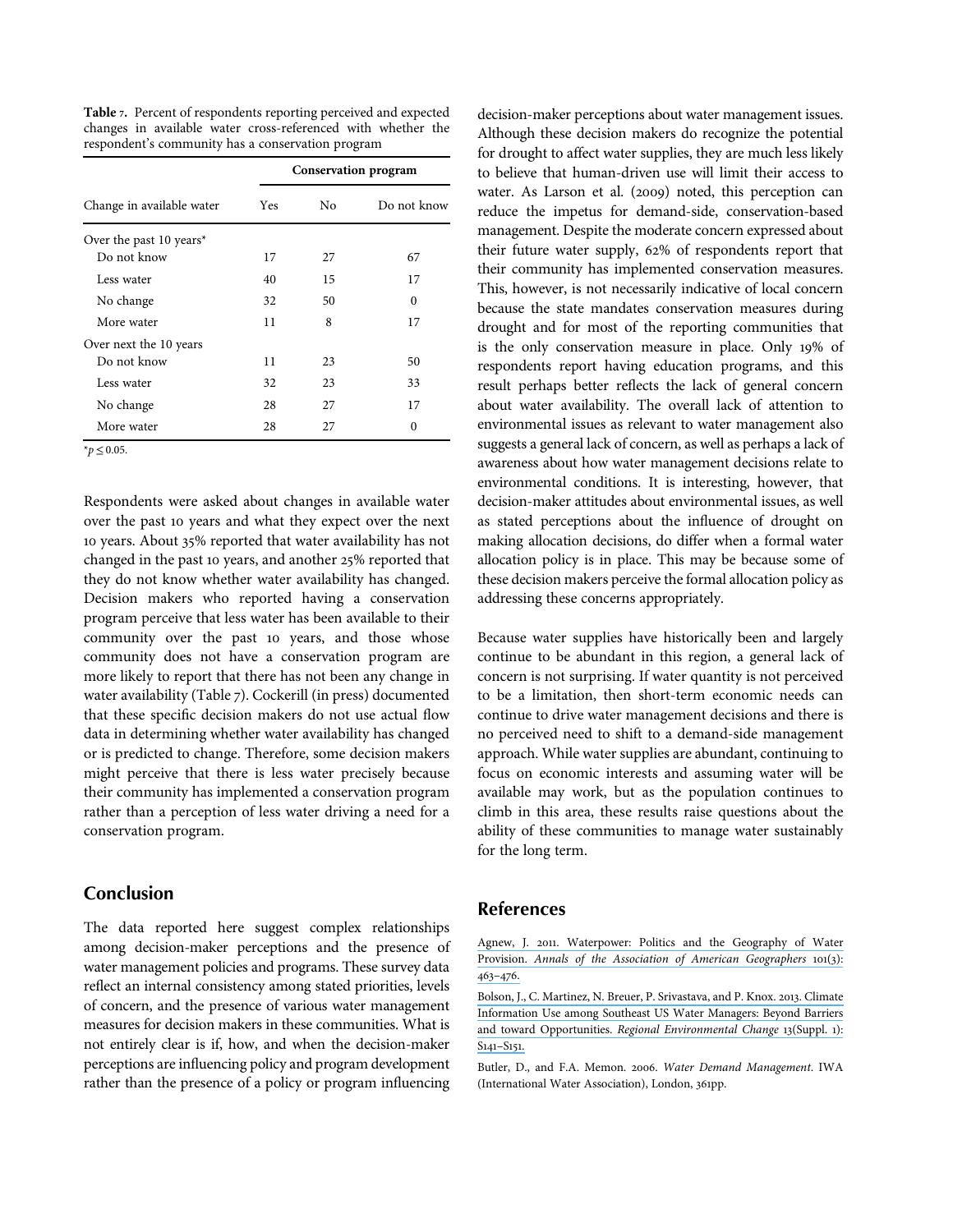<span id="page-7-0"></span>Table 7. Percent of respondents reporting perceived and expected changes in available water cross-referenced with whether the respondent's community has a conservation program

|                           | <b>Conservation program</b> |                |             |
|---------------------------|-----------------------------|----------------|-------------|
| Change in available water | <b>Yes</b>                  | N <sub>0</sub> | Do not know |
| Over the past 10 years*   |                             |                |             |
| Do not know               | 17                          | 27             | 67          |
| Less water                | 40                          | 15             | 17          |
| No change                 | 32                          | 50             | 0           |
| More water                | 11                          | 8              | 17          |
| Over next the 10 years    |                             |                |             |
| Do not know               | 11                          | 23             | 50          |
| Less water                | 32                          | 23             | 33          |
| No change                 | 28                          | 27             | 17          |
| More water                | 28                          | 27             | 0           |

\*p≤ 0.05.

Respondents were asked about changes in available water over the past 10 years and what they expect over the next 10 years. About 35% reported that water availability has not changed in the past 10 years, and another 25% reported that they do not know whether water availability has changed. Decision makers who reported having a conservation program perceive that less water has been available to their community over the past 10 years, and those whose community does not have a conservation program are more likely to report that there has not been any change in water availability (Table 7). [Cockerill](#page-8-0) (in press) documented that these specific decision makers do not use actual flow data in determining whether water availability has changed or is predicted to change. Therefore, some decision makers might perceive that there is less water precisely because their community has implemented a conservation program rather than a perception of less water driving a need for a conservation program.

### Conclusion

The data reported here suggest complex relationships among decision-maker perceptions and the presence of water management policies and programs. These survey data reflect an internal consistency among stated priorities, levels of concern, and the presence of various water management measures for decision makers in these communities. What is not entirely clear is if, how, and when the decision-maker perceptions are influencing policy and program development rather than the presence of a policy or program influencing

decision-maker perceptions about water management issues. Although these decision makers do recognize the potential for drought to affect water supplies, they are much less likely to believe that human-driven use will limit their access to water. As Larson et al. ([2009](#page-8-0)) noted, this perception can reduce the impetus for demand-side, conservation-based management. Despite the moderate concern expressed about their future water supply, 62% of respondents report that their community has implemented conservation measures. This, however, is not necessarily indicative of local concern because the state mandates conservation measures during drought and for most of the reporting communities that is the only conservation measure in place. Only 19% of respondents report having education programs, and this result perhaps better reflects the lack of general concern about water availability. The overall lack of attention to environmental issues as relevant to water management also suggests a general lack of concern, as well as perhaps a lack of awareness about how water management decisions relate to environmental conditions. It is interesting, however, that decision-maker attitudes about environmental issues, as well as stated perceptions about the influence of drought on making allocation decisions, do differ when a formal water allocation policy is in place. This may be because some of these decision makers perceive the formal allocation policy as addressing these concerns appropriately.

Because water supplies have historically been and largely continue to be abundant in this region, a general lack of concern is not surprising. If water quantity is not perceived to be a limitation, then short-term economic needs can continue to drive water management decisions and there is no perceived need to shift to a demand-side management approach. While water supplies are abundant, continuing to focus on economic interests and assuming water will be available may work, but as the population continues to climb in this area, these results raise questions about the ability of these communities to manage water sustainably for the long term.

#### References

Agnew, J. 2011[. Waterpower: Politics and the Geography of Water](https://www.researchgate.net/publication/233098317_Waterpower_Politics_and_the_Geography_of_Water_Provision?el=1_x_8&enrichId=rgreq-f91298bf66c907e53cf8961c363db734-XXX&enrichSource=Y292ZXJQYWdlOzI3MTQwNDY3MDtBUzozNDIwNDYzODU2ODg1NzZAMTQ1ODU2MTYyMTQwMg==) Provision. [Annals of the Association of American Geographers](https://www.researchgate.net/publication/233098317_Waterpower_Politics_and_the_Geography_of_Water_Provision?el=1_x_8&enrichId=rgreq-f91298bf66c907e53cf8961c363db734-XXX&enrichSource=Y292ZXJQYWdlOzI3MTQwNDY3MDtBUzozNDIwNDYzODU2ODg1NzZAMTQ1ODU2MTYyMTQwMg==) 101(3): 463–[476](https://www.researchgate.net/publication/233098317_Waterpower_Politics_and_the_Geography_of_Water_Provision?el=1_x_8&enrichId=rgreq-f91298bf66c907e53cf8961c363db734-XXX&enrichSource=Y292ZXJQYWdlOzI3MTQwNDY3MDtBUzozNDIwNDYzODU2ODg1NzZAMTQ1ODU2MTYyMTQwMg==).

[Bolson, J., C. Martinez, N. Breuer, P. Srivastava, and P. Knox.](https://www.researchgate.net/publication/257480698_Climate_information_use_among_southeast_US_water_managers_Beyond_barriers_and_toward_opportunities?el=1_x_8&enrichId=rgreq-f91298bf66c907e53cf8961c363db734-XXX&enrichSource=Y292ZXJQYWdlOzI3MTQwNDY3MDtBUzozNDIwNDYzODU2ODg1NzZAMTQ1ODU2MTYyMTQwMg==) 2013. Climate [Information Use among Southeast US Water Managers: Beyond Barriers](https://www.researchgate.net/publication/257480698_Climate_information_use_among_southeast_US_water_managers_Beyond_barriers_and_toward_opportunities?el=1_x_8&enrichId=rgreq-f91298bf66c907e53cf8961c363db734-XXX&enrichSource=Y292ZXJQYWdlOzI3MTQwNDY3MDtBUzozNDIwNDYzODU2ODg1NzZAMTQ1ODU2MTYyMTQwMg==) and toward Opportunities. [Regional Environmental Change](https://www.researchgate.net/publication/257480698_Climate_information_use_among_southeast_US_water_managers_Beyond_barriers_and_toward_opportunities?el=1_x_8&enrichId=rgreq-f91298bf66c907e53cf8961c363db734-XXX&enrichSource=Y292ZXJQYWdlOzI3MTQwNDY3MDtBUzozNDIwNDYzODU2ODg1NzZAMTQ1ODU2MTYyMTQwMg==) 13(Suppl. 1): S[141](https://www.researchgate.net/publication/257480698_Climate_information_use_among_southeast_US_water_managers_Beyond_barriers_and_toward_opportunities?el=1_x_8&enrichId=rgreq-f91298bf66c907e53cf8961c363db734-XXX&enrichSource=Y292ZXJQYWdlOzI3MTQwNDY3MDtBUzozNDIwNDYzODU2ODg1NzZAMTQ1ODU2MTYyMTQwMg==)–S151.

Butler, D., and F.A. Memon. 2006. Water Demand Management. IWA (International Water Association), London, 361pp.